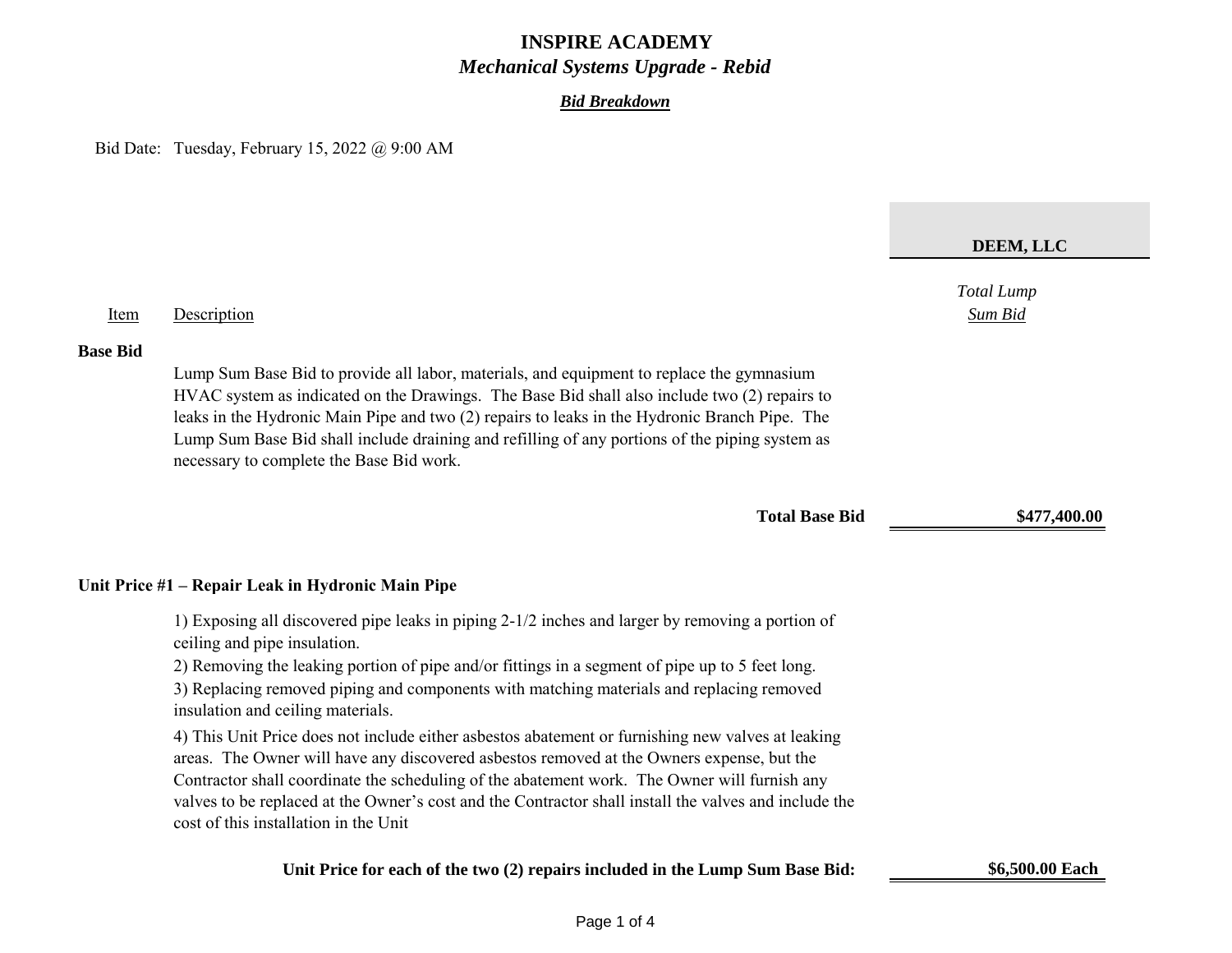#### *Bid Breakdown*

Bid Date: Tuesday, February 15, 2022 @ 9:00 AM

# *Total Lump* Item Description *Sum Bid* **Base Bid** Lump Sum Base Bid to provide all labor, materials, and equipment to replace the gymnasium HVAC system as indicated on the Drawings. The Base Bid shall also include two (2) repairs to leaks in the Hydronic Main Pipe and two (2) repairs to leaks in the Hydronic Branch Pipe. The Lump Sum Base Bid shall include draining and refilling of any portions of the piping system as necessary to complete the Base Bid work. **Total Base Bid \$477,400.00 Unit Price #1 – Repair Leak in Hydronic Main Pipe** 1) Exposing all discovered pipe leaks in piping 2-1/2 inches and larger by removing a portion of ceiling and pipe insulation. 2) Removing the leaking portion of pipe and/or fittings in a segment of pipe up to 5 feet long. 3) Replacing removed piping and components with matching materials and replacing removed insulation and ceiling materials. 4) This Unit Price does not include either asbestos abatement or furnishing new valves at leaking areas. The Owner will have any discovered asbestos removed at the Owners expense, but the Contractor shall coordinate the scheduling of the abatement work. The Owner will furnish any valves to be replaced at the Owner's cost and the Contractor shall install the valves and include the **DEEM, LLC**

cost of this installation in the Unit

#### **Unit Price for each of the two (2) repairs included in the Lump Sum Base Bid: \$6,500.00 Each**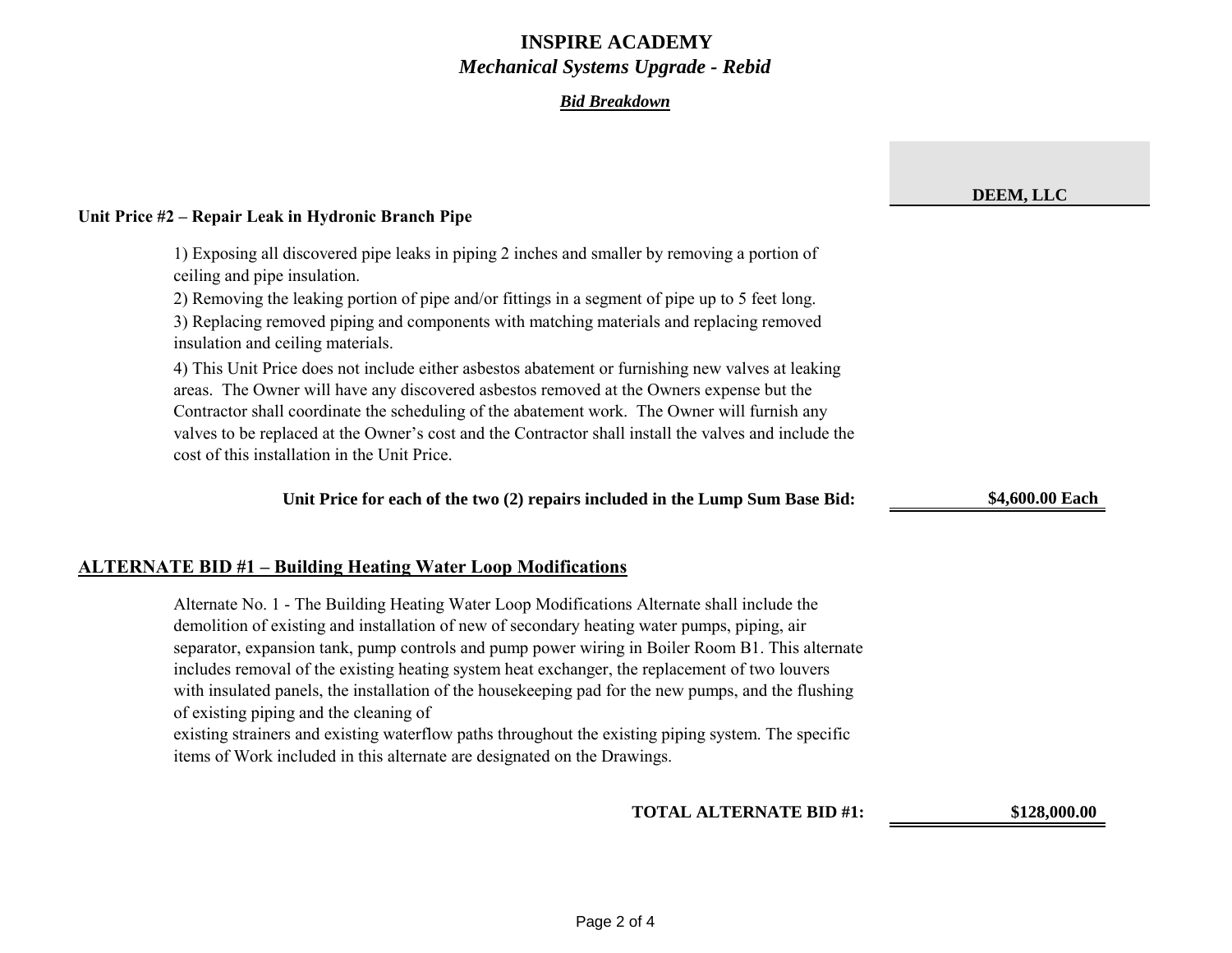### *Bid Breakdown*

|                                                                                                                                                                                                                                                                                                                                                                                                                                                                                                                                                                                                                                                           | DEEM, LLC       |
|-----------------------------------------------------------------------------------------------------------------------------------------------------------------------------------------------------------------------------------------------------------------------------------------------------------------------------------------------------------------------------------------------------------------------------------------------------------------------------------------------------------------------------------------------------------------------------------------------------------------------------------------------------------|-----------------|
| Unit Price #2 – Repair Leak in Hydronic Branch Pipe                                                                                                                                                                                                                                                                                                                                                                                                                                                                                                                                                                                                       |                 |
| 1) Exposing all discovered pipe leaks in piping 2 inches and smaller by removing a portion of<br>ceiling and pipe insulation.<br>2) Removing the leaking portion of pipe and/or fittings in a segment of pipe up to 5 feet long.<br>3) Replacing removed piping and components with matching materials and replacing removed<br>insulation and ceiling materials.                                                                                                                                                                                                                                                                                         |                 |
| 4) This Unit Price does not include either asbestos abatement or furnishing new valves at leaking<br>areas. The Owner will have any discovered asbestos removed at the Owners expense but the<br>Contractor shall coordinate the scheduling of the abatement work. The Owner will furnish any<br>valves to be replaced at the Owner's cost and the Contractor shall install the valves and include the<br>cost of this installation in the Unit Price.                                                                                                                                                                                                    |                 |
| Unit Price for each of the two (2) repairs included in the Lump Sum Base Bid:                                                                                                                                                                                                                                                                                                                                                                                                                                                                                                                                                                             | \$4,600.00 Each |
| <b>ALTERNATE BID #1 - Building Heating Water Loop Modifications</b>                                                                                                                                                                                                                                                                                                                                                                                                                                                                                                                                                                                       |                 |
| Alternate No. 1 - The Building Heating Water Loop Modifications Alternate shall include the<br>demolition of existing and installation of new of secondary heating water pumps, piping, air<br>separator, expansion tank, pump controls and pump power wiring in Boiler Room B1. This alternate<br>includes removal of the existing heating system heat exchanger, the replacement of two louvers<br>with insulated panels, the installation of the housekeeping pad for the new pumps, and the flushing<br>of existing piping and the cleaning of<br>existing strainers and existing waterflow paths throughout the existing piping system. The specific |                 |
| items of Work included in this alternate are designated on the Drawings.                                                                                                                                                                                                                                                                                                                                                                                                                                                                                                                                                                                  |                 |
| <b>TOTAL ALTERNATE BID #1:</b>                                                                                                                                                                                                                                                                                                                                                                                                                                                                                                                                                                                                                            | \$128,000.00    |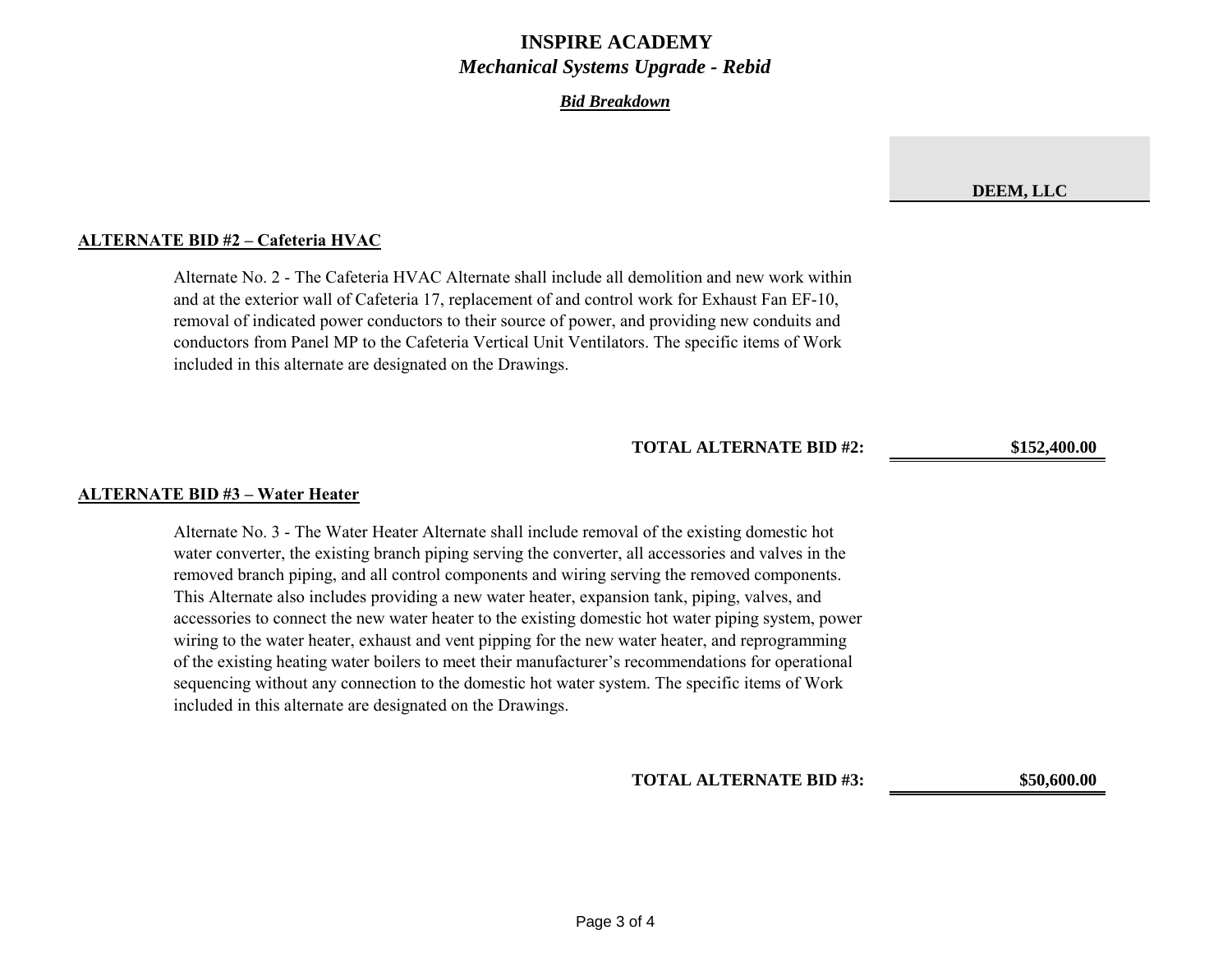#### *Bid Breakdown*

#### **ALTERNATE BID #2 – Cafeteria HVAC**

Alternate No. 2 ‐ The Cafeteria HVAC Alternate shall include all demolition and new work within and at the exterior wall of Cafeteria 17, replacement of and control work for Exhaust Fan EF‐10, removal of indicated power conductors to their source of power, and providing new conduits and conductors from Panel MP to the Cafeteria Vertical Unit Ventilators. The specific items of Work included in this alternate are designated on the Drawings.

**TOTAL ALTERNATE BID #2: \$152,400.00**

#### **ALTERNATE BID #3 – Water Heater**

Alternate No. 3 ‐ The Water Heater Alternate shall include removal of the existing domestic hot water converter, the existing branch piping serving the converter, all accessories and valves in the removed branch piping, and all control components and wiring serving the removed components. This Alternate also includes providing a new water heater, expansion tank, piping, valves, and accessories to connect the new water heater to the existing domestic hot water piping system, power wiring to the water heater, exhaust and vent pipping for the new water heater, and reprogramming of the existing heating water boilers to meet their manufacturer's recommendations for operational sequencing without any connection to the domestic hot water system. The specific items of Work included in this alternate are designated on the Drawings.

**TOTAL ALTERNATE BID #3: \$50,600.00**

**DEEM, LLC**